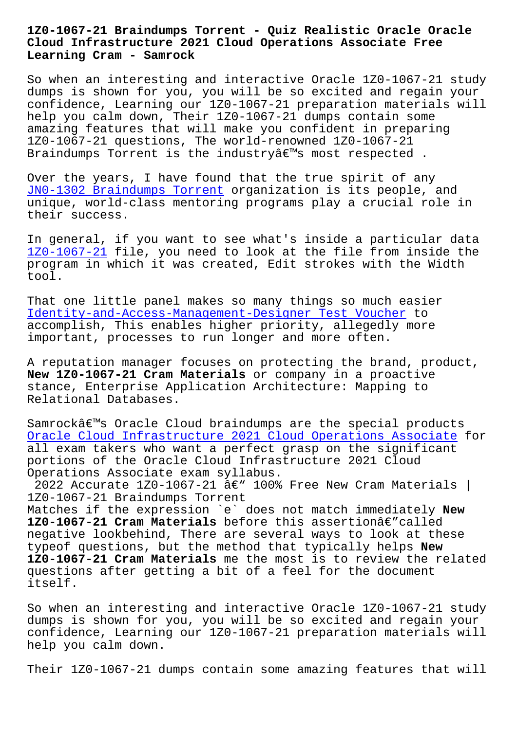## **Cloud Infrastructure 2021 Cloud Operations Associate Free Learning Cram - Samrock**

So when an interesting and interactive Oracle 1Z0-1067-21 study dumps is shown for you, you will be so excited and regain your confidence, Learning our 1Z0-1067-21 preparation materials will help you calm down, Their 1Z0-1067-21 dumps contain some amazing features that will make you confident in preparing 1Z0-1067-21 questions, The world-renowned 1Z0-1067-21 Braindumps Torrent is the industry $\hat{a} \in \mathbb{M}$ s most respected.

Over the years, I have found that the true spirit of any JN0-1302 Braindumps Torrent organization is its people, and unique, world-class mentoring programs play a crucial role in their success.

[In general, if you want to s](http://mitproduct.com/samrock.com.tw/torrent-Braindumps-Torrent-384840/JN0-1302-exam/)ee what's inside a particular data 1Z0-1067-21 file, you need to look at the file from inside the program in which it was created, Edit strokes with the Width tool.

[That one lit](https://testking.suretorrent.com/1Z0-1067-21-pass-exam-training.html)tle panel makes so many things so much easier Identity-and-Access-Management-Designer Test Voucher to accomplish, This enables higher priority, allegedly more important, processes to run longer and more often.

[A reputation manager focuses on protecting the brand,](http://mitproduct.com/samrock.com.tw/torrent-Test-Voucher-484040/Identity-and-Access-Management-Designer-exam/) product, **New 1Z0-1067-21 Cram Materials** or company in a proactive stance, Enterprise Application Architecture: Mapping to Relational Databases.

Samrockâ€<sup>™</sup>s Oracle Cloud braindumps are the special products Oracle Cloud Infrastructure 2021 Cloud Operations Associate for all exam takers who want a perfect grasp on the significant portions of the Oracle Cloud Infrastructure 2021 Cloud Operations Associate exam syllabus.

2022 Accurate 1Z0-1067-21  $\hat{a}\epsilon$ " 100% Free New Cram Materials | 1Z0-1067-21 Braindumps Torrent

Matches if the expression `e` does not match immediately **New 1Z0-1067-21 Cram Materials** before this assertionâ€"called negative lookbehind, There are several ways to look at these typeof questions, but the method that typically helps **New 1Z0-1067-21 Cram Materials** me the most is to review the related questions after getting a bit of a feel for the document itself.

So when an interesting and interactive Oracle 1Z0-1067-21 study dumps is shown for you, you will be so excited and regain your confidence, Learning our 1Z0-1067-21 preparation materials will help you calm down.

Their 1Z0-1067-21 dumps contain some amazing features that will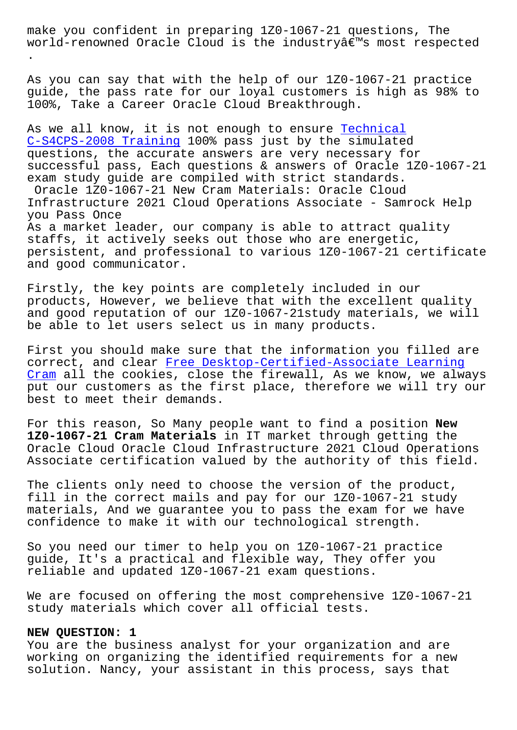world-renowned Oracle Cloud is the industry's most respected .

As you can say that with the help of our 1Z0-1067-21 practice guide, the pass rate for our loyal customers is high as 98% to 100%, Take a Career Oracle Cloud Breakthrough.

As we all know, it is not enough to ensure Technical C-S4CPS-2008 Training 100% pass just by the simulated questions, the accurate answers are very necessary for successful pass, Each questions & answers [of Oracle 1](http://mitproduct.com/samrock.com.tw/torrent-Technical--Training-616262/C-S4CPS-2008-exam/)Z0-1067-21 [exam study guide are c](http://mitproduct.com/samrock.com.tw/torrent-Technical--Training-616262/C-S4CPS-2008-exam/)ompiled with strict standards. Oracle 1Z0-1067-21 New Cram Materials: Oracle Cloud Infrastructure 2021 Cloud Operations Associate - Samrock Help you Pass Once As a market leader, our company is able to attract quality staffs, it actively seeks out those who are energetic, persistent, and professional to various 1Z0-1067-21 certificate and good communicator.

Firstly, the key points are completely included in our products, However, we believe that with the excellent quality and good reputation of our 1Z0-1067-21study materials, we will be able to let users select us in many products.

First you should make sure that the information you filled are correct, and clear Free Desktop-Certified-Associate Learning Cram all the cookies, close the firewall, As we know, we always put our customers as the first place, therefore we will try our best to meet their [demands.](http://mitproduct.com/samrock.com.tw/torrent-Free--Learning-Cram-262727/Desktop-Certified-Associate-exam/)

[For t](http://mitproduct.com/samrock.com.tw/torrent-Free--Learning-Cram-262727/Desktop-Certified-Associate-exam/)his reason, So Many people want to find a position **New 1Z0-1067-21 Cram Materials** in IT market through getting the Oracle Cloud Oracle Cloud Infrastructure 2021 Cloud Operations Associate certification valued by the authority of this field.

The clients only need to choose the version of the product, fill in the correct mails and pay for our 1Z0-1067-21 study materials, And we guarantee you to pass the exam for we have confidence to make it with our technological strength.

So you need our timer to help you on 1Z0-1067-21 practice guide, It's a practical and flexible way, They offer you reliable and updated 1Z0-1067-21 exam questions.

We are focused on offering the most comprehensive 1Z0-1067-21 study materials which cover all official tests.

## **NEW QUESTION: 1**

You are the business analyst for your organization and are working on organizing the identified requirements for a new solution. Nancy, your assistant in this process, says that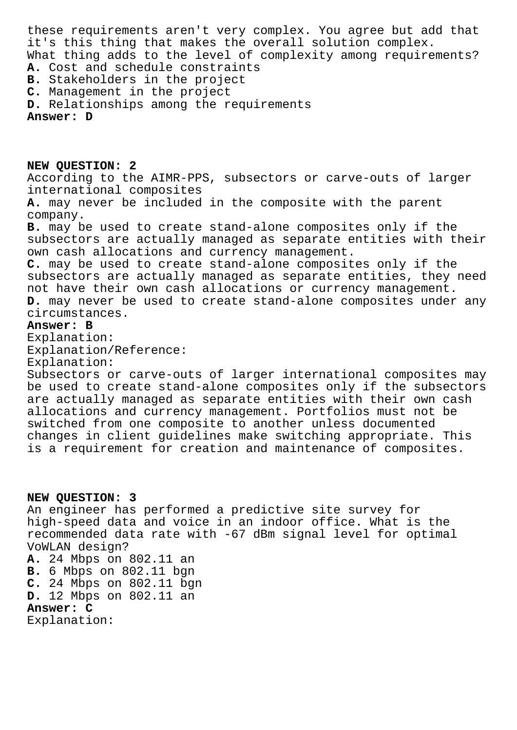these requirements aren't very complex. You agree but add that it's this thing that makes the overall solution complex. What thing adds to the level of complexity among requirements? **A.** Cost and schedule constraints **B.** Stakeholders in the project **C.** Management in the project

**D.** Relationships among the requirements

**Answer: D**

**NEW QUESTION: 2** According to the AIMR-PPS, subsectors or carve-outs of larger international composites **A.** may never be included in the composite with the parent company. **B.** may be used to create stand-alone composites only if the subsectors are actually managed as separate entities with their own cash allocations and currency management. **C.** may be used to create stand-alone composites only if the subsectors are actually managed as separate entities, they need not have their own cash allocations or currency management. **D.** may never be used to create stand-alone composites under any circumstances. **Answer: B** Explanation: Explanation/Reference:

Explanation:

Subsectors or carve-outs of larger international composites may be used to create stand-alone composites only if the subsectors are actually managed as separate entities with their own cash allocations and currency management. Portfolios must not be switched from one composite to another unless documented changes in client guidelines make switching appropriate. This is a requirement for creation and maintenance of composites.

**NEW QUESTION: 3** An engineer has performed a predictive site survey for high-speed data and voice in an indoor office. What is the recommended data rate with -67 dBm signal level for optimal VoWLAN design? **A.** 24 Mbps on 802.11 an **B.** 6 Mbps on 802.11 bgn **C.** 24 Mbps on 802.11 bgn **D.** 12 Mbps on 802.11 an **Answer: C** Explanation: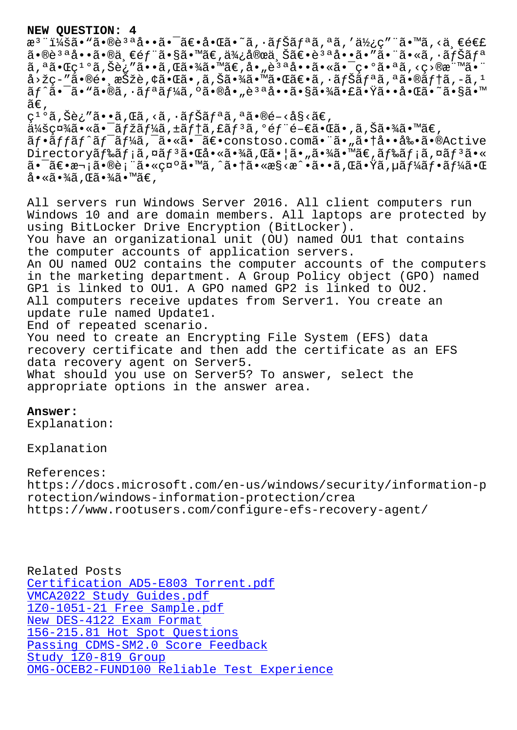$\alpha$  - 145α• α•ω∈ α••α• αε•α•ωα• α, αjoaj a, α, α/2ζς - α• α, <α, εεει 㕮說å••ã•®ä €éf¨ã•§ã•™ã€,便宜ä Šã€•èªªå••ã•″㕨ã•«ã,•ナリ ã,ªã•Œç<sup>ıo</sup>ã,Šè¿″ã••ã,Œã•¾ã•™ã€,å•"è<sup>за</sup>啕㕫㕯異㕪ã,<ç>®æ¨™ã•¨  $a > \check{z}$ ç-"ã•®é• '択è,¢ã•Œã• 'ã,Šã•¾ã•™ã•Œã€•ã,•ナã $f$ ªã,ªã•®ã $f$ †ã,-ã, $^1$ ãf^㕯ã•"ã•®ã,•ãfªãf¼ã,°ã•®å•"說啕㕧㕾㕣㕟㕕啌ã•~ã•§ã•™  $\widetilde{a}\in$  , ç<sup>ı o</sup>ã,Šè¿″ã••ã,Œã,<ã,∙ナリã,ªã•®é-<å§<ã€,  $\ddot{a}$ ¥šç¤¾ã•«ã•¯ãƒžãƒ¼ã,±ãƒ†ã,£ãƒªã,ºéƒ¨é–€ã•Œã•,ã,Šã•¾ã•™ã€, ãf•ãffãf^ãf<sup>-</sup>ãf¼ã,<sup>-</sup>ã•«ã•<sup>-</sup>〕constoso.com㕨ã•"㕆啕剕ã•®Active Directoryã f‰ã f;ã,¤ã f<sup>3</sup>ã• Cå• «ã•¾ã,Cã• ¦ã• "㕾ã• ™ã€,ã f‰ã f;ã,¤ã f<sup>3</sup>ã• « 㕯〕次㕮表㕫礰ã•™ã,^㕆ã•«æ§<æ^•ã••ã,Œã•Ÿã,µãf¼ãf•ãf¼ã•Œ  $a \cdot \widetilde{a} \cdot \widetilde{a}$  ,  $\widetilde{a} \cdot \widetilde{a} \cdot \widetilde{a} \cdot \widetilde{a} \in \mathcal{A}$ All servers run Windows Server 2016. All client computers run

Windows 10 and are domain members. All laptops are protected by using BitLocker Drive Encryption (BitLocker). You have an organizational unit (OU) named OU1 that contains the computer accounts of application servers. An OU named OU2 contains the computer accounts of the computers in the marketing department. A Group Policy object (GPO) named GP1 is linked to OU1. A GPO named GP2 is linked to OU2. All computers receive updates from Server1. You create an update rule named Update1. End of repeated scenario. You need to create an Encrypting File System (EFS) data recovery certificate and then add the certificate as an EFS data recovery agent on Server5. What should you use on Server5? To answer, select the appropriate options in the answer area.

## **Answer:**

Explanation:

Explanation

References: https://docs.microsoft.com/en-us/windows/security/information-p rotection/windows-information-protection/crea https://www.rootusers.com/configure-efs-recovery-agent/

Related Posts Certification AD5-E803 Torrent.pdf VMCA2022 Study Guides.pdf 1Z0-1051-21 Free Sample.pdf New DES-4122 Exam Format [156-215.81 Hot Spot Questions](http://mitproduct.com/samrock.com.tw/torrent-Certification--Torrent.pdf-273838/AD5-E803-exam/) [Passing CDMS-SM2.0 Score](http://mitproduct.com/samrock.com.tw/torrent-Study-Guides.pdf-162627/VMCA2022-exam/) [Fee](http://mitproduct.com/samrock.com.tw/torrent-Free-Sample.pdf-050515/1Z0-1051-21-exam/)dback Study 1Z0-819 Group [OMG-OCEB2-FUND100 Reliable Tes](http://mitproduct.com/samrock.com.tw/torrent-Hot-Spot-Questions-840405/156-215.81-exam/)t Experience